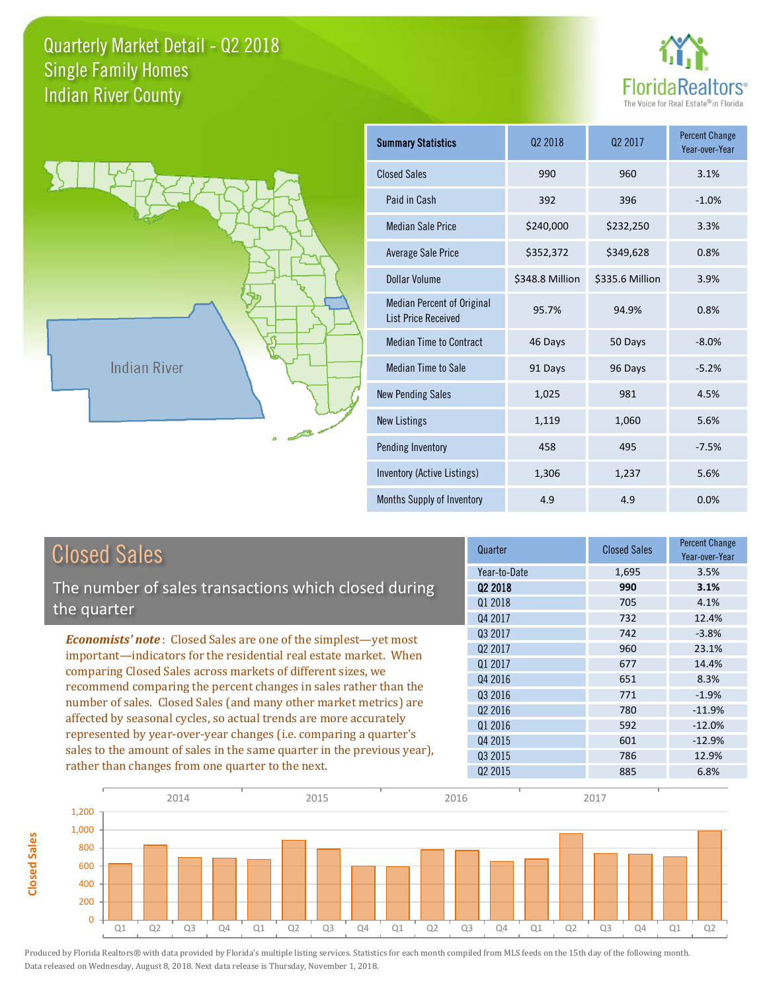



**Closed Sales**

**Closed Sales** 

| <b>Summary Statistics</b>                                       | 02 2018         | 02 2017         | <b>Percent Change</b><br>Year-over-Year |
|-----------------------------------------------------------------|-----------------|-----------------|-----------------------------------------|
| <b>Closed Sales</b>                                             | 990             | 960             | 3.1%                                    |
| Paid in Cash                                                    | 392             | 396             | $-1.0%$                                 |
| <b>Median Sale Price</b>                                        | \$240,000       | \$232,250       | 3.3%                                    |
| <b>Average Sale Price</b>                                       | \$352,372       | \$349,628       | 0.8%                                    |
| <b>Dollar Volume</b>                                            | \$348.8 Million | \$335.6 Million | 3.9%                                    |
| <b>Median Percent of Original</b><br><b>List Price Received</b> | 95.7%           | 94.9%           | 0.8%                                    |
| <b>Median Time to Contract</b>                                  | 46 Days         | 50 Days         | $-8.0%$                                 |
| <b>Median Time to Sale</b>                                      | 91 Days         | 96 Days         | $-5.2%$                                 |
| <b>New Pending Sales</b>                                        | 1,025           | 981             | 4.5%                                    |
| <b>New Listings</b>                                             | 1,119           | 1,060           | 5.6%                                    |
| Pending Inventory                                               | 458             | 495             | $-7.5%$                                 |
| Inventory (Active Listings)                                     | 1,306           | 1,237           | 5.6%                                    |
| Months Supply of Inventory                                      | 4.9             | 4.9             | 0.0%                                    |

| <b>Closed Sales</b>                                                                                                                                                                                                                                                                                                                             | Quarter             | <b>Closed Sales</b> | <b>Percent Change</b><br>Year-over-Year |
|-------------------------------------------------------------------------------------------------------------------------------------------------------------------------------------------------------------------------------------------------------------------------------------------------------------------------------------------------|---------------------|---------------------|-----------------------------------------|
|                                                                                                                                                                                                                                                                                                                                                 | Year-to-Date        | 1,695               | 3.5%                                    |
| The number of sales transactions which closed during                                                                                                                                                                                                                                                                                            | 02 2018             | 990                 | 3.1%                                    |
| the quarter                                                                                                                                                                                                                                                                                                                                     | 01 2018             | 705                 | 4.1%                                    |
|                                                                                                                                                                                                                                                                                                                                                 | Q4 2017             | 732                 | 12.4%                                   |
| <b>Economists' note:</b> Closed Sales are one of the simplest—yet most                                                                                                                                                                                                                                                                          | 03 2017             | 742                 | $-3.8%$                                 |
| important—indicators for the residential real estate market. When                                                                                                                                                                                                                                                                               | Q <sub>2</sub> 2017 | 960                 | 23.1%                                   |
| comparing Closed Sales across markets of different sizes, we<br>recommend comparing the percent changes in sales rather than the<br>number of sales. Closed Sales (and many other market metrics) are<br>affected by seasonal cycles, so actual trends are more accurately<br>represented by year-over-year changes (i.e. comparing a quarter's | 01 2017             | 677                 | 14.4%                                   |
|                                                                                                                                                                                                                                                                                                                                                 | Q4 2016             | 651                 | 8.3%                                    |
|                                                                                                                                                                                                                                                                                                                                                 | Q3 2016             | 771                 | $-1.9%$                                 |
|                                                                                                                                                                                                                                                                                                                                                 | Q <sub>2</sub> 2016 | 780                 | $-11.9%$                                |
|                                                                                                                                                                                                                                                                                                                                                 | 01 2016             | 592                 | $-12.0%$                                |
|                                                                                                                                                                                                                                                                                                                                                 | Q4 2015             | 601                 | $-12.9%$                                |
| sales to the amount of sales in the same quarter in the previous year),                                                                                                                                                                                                                                                                         | 03 2015             | 786                 | 12.9%                                   |
| rather than changes from one quarter to the next.                                                                                                                                                                                                                                                                                               | Q <sub>2</sub> 2015 | 885                 | 6.8%                                    |

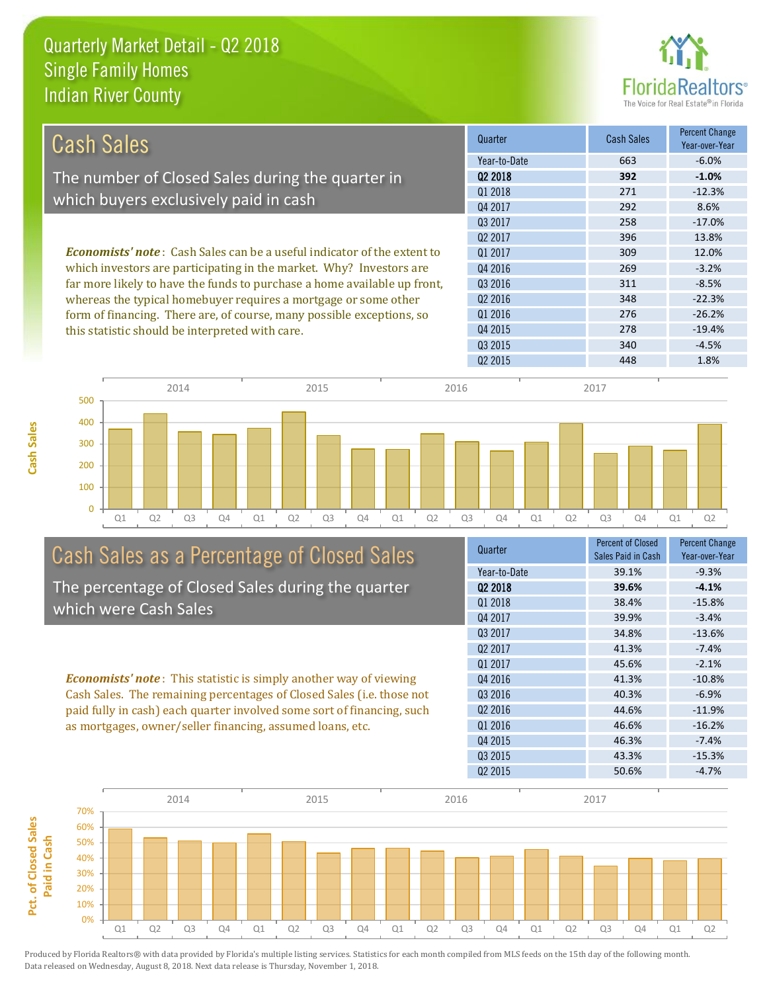

| Cash Sales                                                                     | Quarter             | <b>Cash Sales</b> | <b>Percent Change</b><br>Year-over-Year |
|--------------------------------------------------------------------------------|---------------------|-------------------|-----------------------------------------|
|                                                                                | Year-to-Date        | 663               | $-6.0\%$                                |
| The number of Closed Sales during the quarter in                               | Q <sub>2</sub> 2018 | 392               | $-1.0%$                                 |
|                                                                                | 01 2018             | 271               | $-12.3%$                                |
| which buyers exclusively paid in cash                                          | Q4 2017             | 292               | 8.6%                                    |
|                                                                                | 03 2017             | 258               | $-17.0%$                                |
|                                                                                | Q <sub>2</sub> 2017 | 396               | 13.8%                                   |
| <b>Economists' note:</b> Cash Sales can be a useful indicator of the extent to | 01 2017             | 309               | 12.0%                                   |
| which investors are participating in the market. Why? Investors are            | Q4 2016             | 269               | $-3.2%$                                 |
| far more likely to have the funds to purchase a home available up front,       | Q3 2016             | 311               | $-8.5%$                                 |
| whereas the typical homebuyer requires a mortgage or some other                | Q <sub>2</sub> 2016 | 348               | $-22.3%$                                |
| form of financing. There are, of course, many possible exceptions, so          | Q1 2016             | 276               | $-26.2%$                                |
| this statistic should be interpreted with care.                                | Q4 2015             | 278               | $-19.4%$                                |
|                                                                                | Q3 2015             | 340               | $-4.5%$                                 |



# Cash Sales as a Percentage of Closed Sales

The percentage of Closed Sales during the quarter which were Cash Sales

*Economists' note* : This statistic is simply another way of viewing Cash Sales. The remaining percentages of Closed Sales (i.e. those not paid fully in cash) each quarter involved some sort of financing, such as mortgages, owner/seller financing, assumed loans, etc.



Q2 2015 448 1.8%

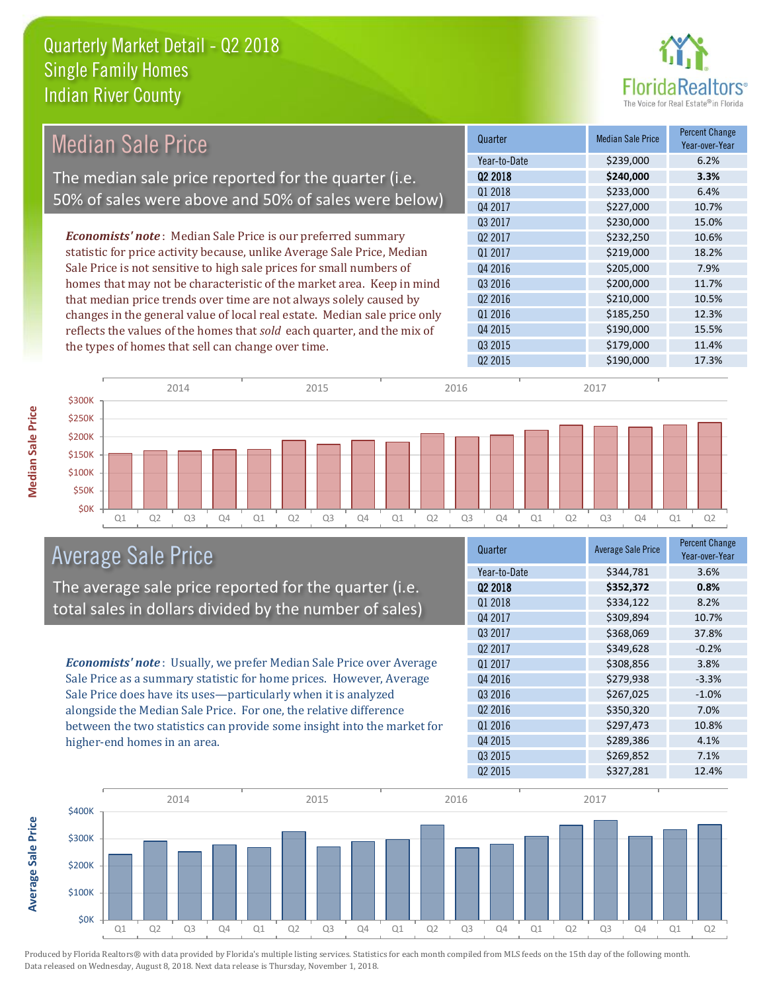

| <b>Median Sale Price</b>                                                  | Quarter             | <b>Median Sale Price</b>         | Percent Change<br>Year-over-Year |
|---------------------------------------------------------------------------|---------------------|----------------------------------|----------------------------------|
|                                                                           | Year-to-Date        | \$239,000                        | 6.2%                             |
| The median sale price reported for the quarter (i.e.                      | 02 2018             | \$240,000                        | 3.3%                             |
|                                                                           | 01 2018             | \$233,000                        | 6.4%                             |
| 50% of sales were above and 50% of sales were below)                      | Q4 2017             | \$227,000                        | 10.7%                            |
|                                                                           | Q3 2017             | \$230,000                        | 15.0%                            |
| <b>Economists' note:</b> Median Sale Price is our preferred summary       | Q <sub>2</sub> 2017 | \$232,250                        | 10.6%                            |
| statistic for price activity because, unlike Average Sale Price, Median   | Q1 2017             | \$219,000                        | 18.2%                            |
| Sale Price is not sensitive to high sale prices for small numbers of      | Q4 2016             | \$205,000                        | 7.9%                             |
| homes that may not be characteristic of the market area. Keep in mind     | Q3 2016             | \$200,000                        | 11.7%                            |
| that median price trends over time are not always solely caused by        | Q <sub>2</sub> 2016 | \$210,000                        | 10.5%                            |
| changes in the general value of local real estate. Median sale price only | Q1 2016             | \$185,250                        | 12.3%                            |
| reflects the values of the homes that sold each quarter, and the mix of   | Q4 2015             | \$190,000                        | 15.5%                            |
| the types of homes that sell can change over time.                        | Q3 2015             | \$179,000                        | 11.4%                            |
|                                                                           | Q <sub>2</sub> 2015 | \$190,000                        | 17.3%                            |
| 0.011<br>$\bigcap_{n=1}^{\infty}$                                         |                     | $\mathcal{A} \cap \mathcal{A} =$ |                                  |



## Average Sale Price

The average sale price reported for the quarter (i.e. total sales in dollars divided by the number of sales)

*Economists' note* : Usually, we prefer Median Sale Price over Average Sale Price as a summary statistic for home prices. However, Average Sale Price does have its uses—particularly when it is analyzed alongside the Median Sale Price. For one, the relative difference between the two statistics can provide some insight into the market for higher-end homes in an area.

| Quarter             | <b>Average Sale Price</b> | <b>Percent Change</b><br>Year-over-Year |
|---------------------|---------------------------|-----------------------------------------|
| Year-to-Date        | \$344,781                 | 3.6%                                    |
| Q2 2018             | \$352,372                 | 0.8%                                    |
| Q1 2018             | \$334,122                 | 8.2%                                    |
| Q4 2017             | \$309,894                 | 10.7%                                   |
| 03 2017             | \$368,069                 | 37.8%                                   |
| Q <sub>2</sub> 2017 | \$349,628                 | $-0.2%$                                 |
| 01 2017             | \$308,856                 | 3.8%                                    |
| Q4 2016             | \$279,938                 | $-3.3%$                                 |
| Q3 2016             | \$267,025                 | $-1.0%$                                 |
| Q <sub>2</sub> 2016 | \$350,320                 | 7.0%                                    |
| Q1 2016             | \$297,473                 | 10.8%                                   |
| Q4 2015             | \$289,386                 | 4.1%                                    |
| Q3 2015             | \$269,852                 | 7.1%                                    |
| Q <sub>2</sub> 2015 | \$327,281                 | 12.4%                                   |

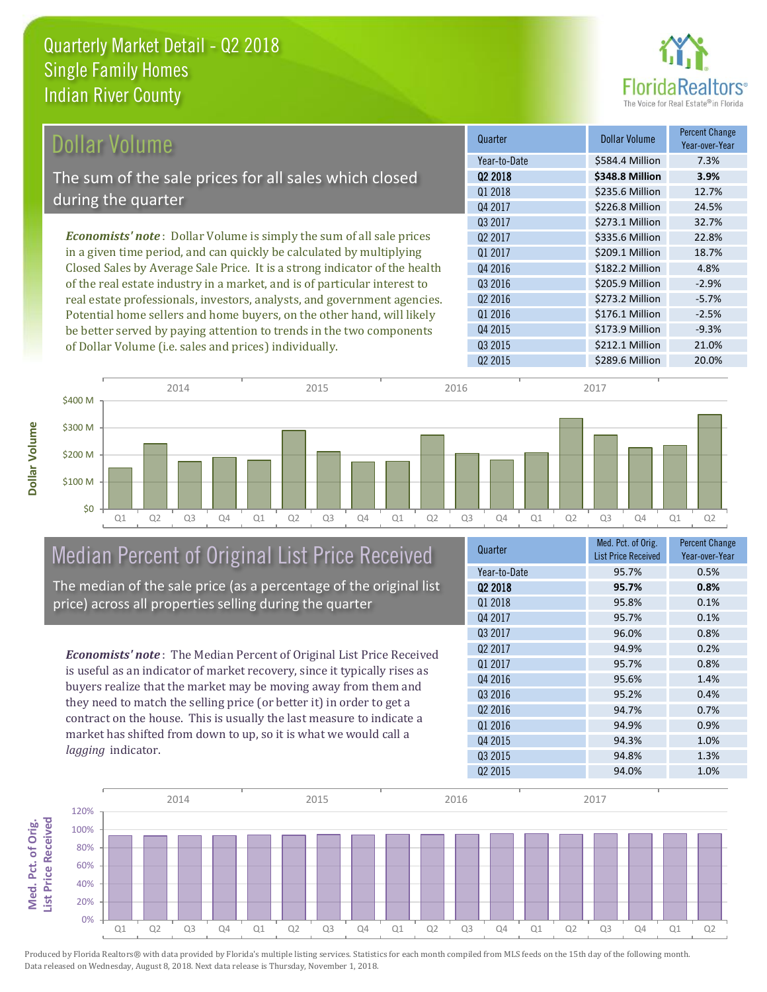

| Dollar Volume                                                                | Quarter             | <b>Dollar Volume</b> | <b>Percent Change</b><br>Year-over-Year |
|------------------------------------------------------------------------------|---------------------|----------------------|-----------------------------------------|
|                                                                              | Year-to-Date        | \$584.4 Million      | 7.3%                                    |
| The sum of the sale prices for all sales which closed                        | 02 2018             | \$348.8 Million      | 3.9%                                    |
|                                                                              | Q1 2018             | \$235.6 Million      | 12.7%                                   |
| during the quarter                                                           | Q4 2017             | \$226.8 Million      | 24.5%                                   |
|                                                                              | 03 2017             | \$273.1 Million      | 32.7%                                   |
| <b>Economists' note</b> : Dollar Volume is simply the sum of all sale prices | 02 2017             | \$335.6 Million      | 22.8%                                   |
| in a given time period, and can quickly be calculated by multiplying         | 01 2017             | \$209.1 Million      | 18.7%                                   |
| Closed Sales by Average Sale Price. It is a strong indicator of the health   | Q4 2016             | \$182.2 Million      | 4.8%                                    |
| of the real estate industry in a market, and is of particular interest to    | Q3 2016             | \$205.9 Million      | $-2.9%$                                 |
| real estate professionals, investors, analysts, and government agencies.     | Q <sub>2</sub> 2016 | \$273.2 Million      | $-5.7%$                                 |
| Potential home sellers and home buyers, on the other hand, will likely       | Q1 2016             | \$176.1 Million      | $-2.5%$                                 |
| be better served by paying attention to trends in the two components         | Q4 2015             | \$173.9 Million      | $-9.3%$                                 |



# Median Percent of Original List Price Received

be better served by paying attention to trends in the two components

of Dollar Volume (i.e. sales and prices) individually.

The median of the sale price (as a percentage of the original list price) across all properties selling during the quarter

*Economists' note* : The Median Percent of Original List Price Received is useful as an indicator of market recovery, since it typically rises as buyers realize that the market may be moving away from them and they need to match the selling price (or better it) in order to get a contract on the house. This is usually the last measure to indicate a market has shifted from down to up, so it is what we would call a *lagging* indicator.

| Quarter             | Med. Pct. of Orig.         | Percent Change |
|---------------------|----------------------------|----------------|
|                     | <b>List Price Received</b> | Year-over-Year |
| Year-to-Date        | 95.7%                      | 0.5%           |
| 02 2018             | 95.7%                      | 0.8%           |
| 01 2018             | 95.8%                      | 0.1%           |
| 04 2017             | 95.7%                      | 0.1%           |
| Q3 2017             | 96.0%                      | 0.8%           |
| Q <sub>2</sub> 2017 | 94.9%                      | 0.2%           |
| 01 2017             | 95.7%                      | 0.8%           |
| Q4 2016             | 95.6%                      | 1.4%           |
| Q3 2016             | 95.2%                      | 0.4%           |
| Q <sub>2</sub> 2016 | 94.7%                      | 0.7%           |
| 01 2016             | 94.9%                      | 0.9%           |
| Q4 2015             | 94.3%                      | 1.0%           |
| Q3 2015             | 94.8%                      | 1.3%           |
| Q <sub>2</sub> 2015 | 94.0%                      | 1.0%           |
|                     |                            |                |

Q3 2015 \$212.1 Million 21.0%



**Med. Pct. of Orig.** 

Med. Pct. of Orig.

**Dollar Volume**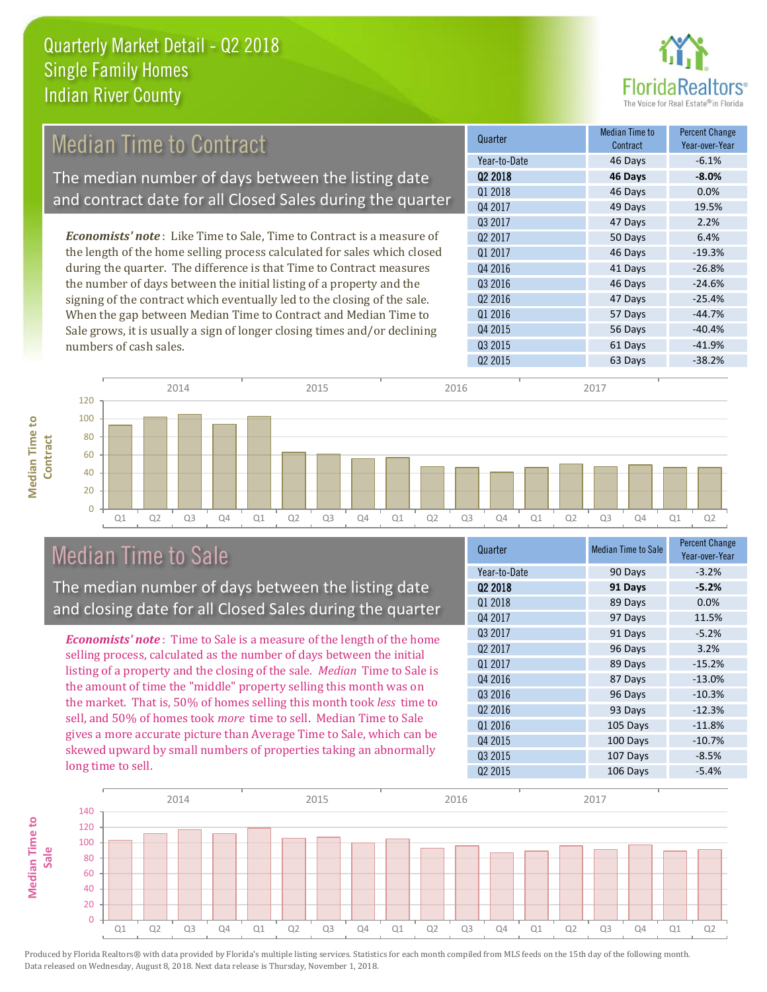

#### 49 Days 19.5% Q3 2017 47 Days 2.2% Quarter Median Time to **Median Time to Contract** Percent Change Q2 2018 **46 Days -8.0%** Year-to-Date 46 Days -6.1% Q1 2018 **46 Days 0.0%** Q4 2017 Q4 2016 41 Days -26.8% Q3 2016 **46 Days** -24.6% Q2 2017 50 Days 6.4% Q1 2017 **46 Days** 46 Days 46 Days 46 Days 46 Days 46 Days 46 Days 49 0 19.3% *Economists' note* : Like Time to Sale, Time to Contract is a measure of the length of the home selling process calculated for sales which closed during the quarter. The difference is that Time to Contract measures the number of days between the initial listing of a property and the Median Time to Contract The median number of days between the listing date and contract date for all Closed Sales during the quarter

signing of the contract which eventually led to the closing of the sale. When the gap between Median Time to Contract and Median Time to Sale grows, it is usually a sign of longer closing times and/or declining numbers of cash sales.





## Median Time to Sale

**Median Time to** 

**Median Time to** 

The median number of days between the listing date and closing date for all Closed Sales during the quarter

*Economists' note* : Time to Sale is a measure of the length of the home selling process, calculated as the number of days between the initial listing of a property and the closing of the sale. *Median* Time to Sale is the amount of time the "middle" property selling this month was on the market. That is, 50% of homes selling this month took *less* time to sell, and 50% of homes took *more* time to sell. Median Time to Sale gives a more accurate picture than Average Time to Sale, which can be skewed upward by small numbers of properties taking an abnormally long time to sell.

| Quarter             | <b>Median Time to Sale</b> | Percent Change<br>Year-over-Year |
|---------------------|----------------------------|----------------------------------|
| Year-to-Date        | 90 Days                    | $-3.2%$                          |
| Q <sub>2</sub> 2018 | 91 Days                    | $-5.2%$                          |
| 01 2018             | 89 Days                    | 0.0%                             |
| 04 2017             | 97 Days                    | 11.5%                            |
| Q3 2017             | 91 Days                    | $-5.2%$                          |
| Q <sub>2</sub> 2017 | 96 Days                    | 3.2%                             |
| Q1 2017             | 89 Days                    | $-15.2%$                         |
| Q4 2016             | 87 Days                    | $-13.0%$                         |
| Q3 2016             | 96 Days                    | $-10.3%$                         |
| Q <sub>2</sub> 2016 | 93 Days                    | $-12.3%$                         |
| Q1 2016             | 105 Days                   | $-11.8%$                         |
| Q4 2015             | 100 Days                   | $-10.7%$                         |
| Q3 2015             | 107 Days                   | $-8.5%$                          |
| Q <sub>2</sub> 2015 | 106 Days                   | $-5.4%$                          |

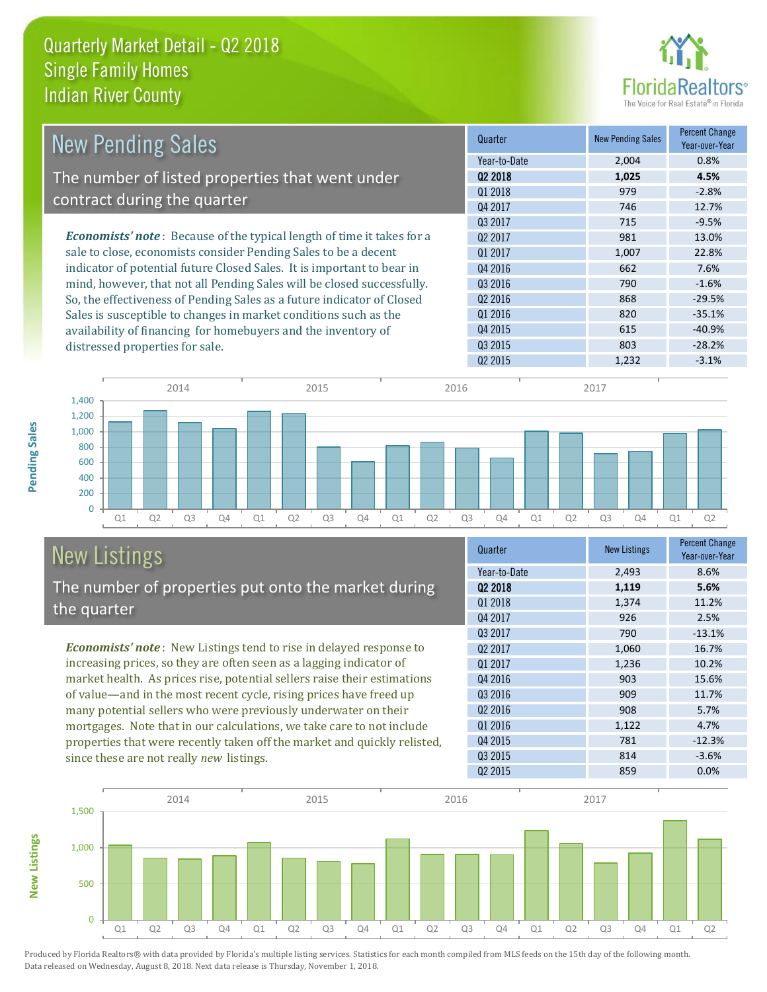

| <b>New Pending Sales</b>                                                      | Quarter             | <b>New Pending Sales</b> | <b>Percent Change</b><br>Year-over-Year |
|-------------------------------------------------------------------------------|---------------------|--------------------------|-----------------------------------------|
|                                                                               | Year-to-Date        | 2,004                    | 0.8%                                    |
| The number of listed properties that went under                               | 02 2018             | 1,025                    | 4.5%                                    |
|                                                                               | Q1 2018             | 979                      | $-2.8%$                                 |
| contract during the quarter                                                   | Q4 2017             | 746                      | 12.7%                                   |
|                                                                               | Q3 2017             | 715                      | $-9.5%$                                 |
| <b>Economists' note:</b> Because of the typical length of time it takes for a | Q <sub>2</sub> 2017 | 981                      | 13.0%                                   |
| sale to close, economists consider Pending Sales to be a decent               | Q1 2017             | 1,007                    | 22.8%                                   |
| indicator of potential future Closed Sales. It is important to bear in        | Q4 2016             | 662                      | 7.6%                                    |
| mind, however, that not all Pending Sales will be closed successfully.        | Q3 2016             | 790                      | $-1.6%$                                 |
| So, the effectiveness of Pending Sales as a future indicator of Closed        | Q <sub>2</sub> 2016 | 868                      | $-29.5%$                                |
| Sales is susceptible to changes in market conditions such as the              | Q1 2016             | 820                      | $-35.1%$                                |
| availability of financing for homebuyers and the inventory of                 | Q4 2015             | 615                      | $-40.9%$                                |
| distressed properties for sale.                                               | Q3 2015             | 803                      | $-28.2%$                                |
|                                                                               | 02 2015             | 1.232                    | $-3.1%$                                 |



#### New Listings The number of properties put onto the market during the quarter

*Economists' note* : New Listings tend to rise in delayed response to increasing prices, so they are often seen as a lagging indicator of market health. As prices rise, potential sellers raise their estimations of value—and in the most recent cycle, rising prices have freed up many potential sellers who were previously underwater on their mortgages. Note that in our calculations, we take care to not include properties that were recently taken off the market and quickly relisted, since these are not really *new* listings.

| Quarter             | <b>New Listings</b> | <b>Percent Change</b><br>Year-over-Year |
|---------------------|---------------------|-----------------------------------------|
| Year-to-Date        | 2,493               | 8.6%                                    |
| 02 2018             | 1,119               | 5.6%                                    |
| Q1 2018             | 1,374               | 11.2%                                   |
| Q4 2017             | 926                 | 2.5%                                    |
| 03 2017             | 790                 | $-13.1%$                                |
| 02 2017             | 1,060               | 16.7%                                   |
| Q1 2017             | 1,236               | 10.2%                                   |
| Q4 2016             | 903                 | 15.6%                                   |
| 03 2016             | 909                 | 11.7%                                   |
| 02 2016             | 908                 | 5.7%                                    |
| 01 2016             | 1,122               | 4.7%                                    |
| Q4 2015             | 781                 | $-12.3%$                                |
| Q3 2015             | 814                 | $-3.6%$                                 |
| Q <sub>2</sub> 2015 | 859                 | 0.0%                                    |



Produced by Florida Realtors® with data provided by Florida's multiple listing services. Statistics for each month compiled from MLS feeds on the 15th day of the following month. Data released on Wednesday, August 8, 2018. Next data release is Thursday, November 1, 2018.

**New Listings**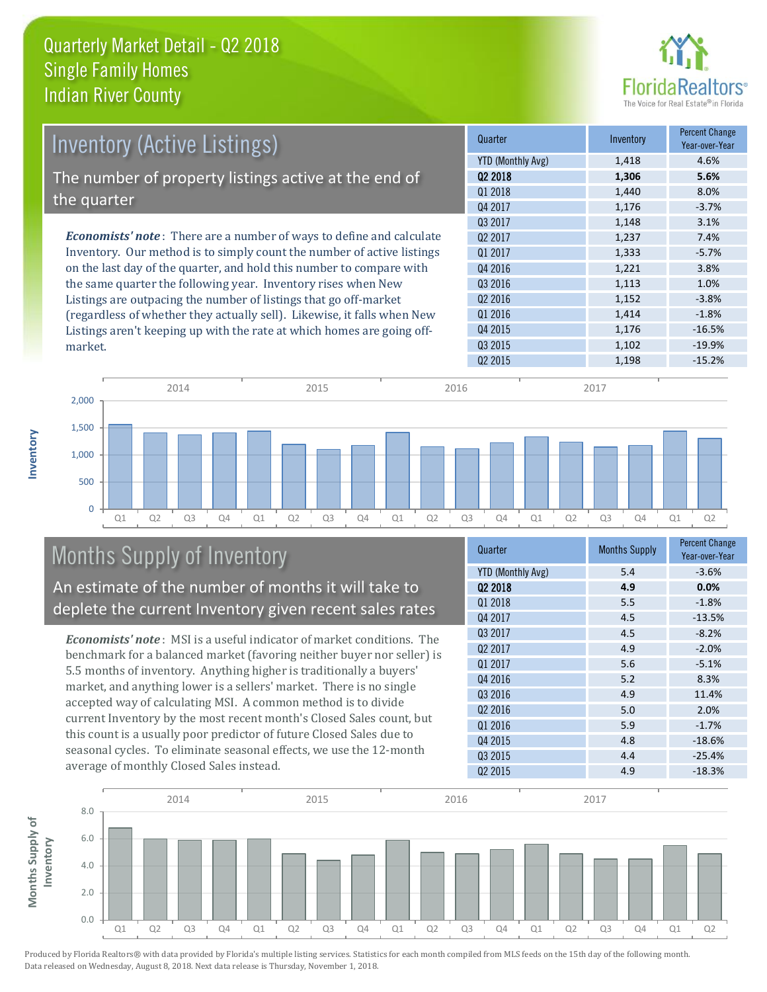

| <b>Inventory (Active Listings)</b>                                           | Quarter             | Inventory | <b>Percent Change</b><br>Year-over-Year |
|------------------------------------------------------------------------------|---------------------|-----------|-----------------------------------------|
|                                                                              | YTD (Monthly Avg)   | 1,418     | 4.6%                                    |
| The number of property listings active at the end of                         | Q <sub>2</sub> 2018 | 1,306     | 5.6%                                    |
|                                                                              | Q1 2018             | 1,440     | 8.0%                                    |
| the quarter                                                                  | Q4 2017             | 1,176     | $-3.7%$                                 |
|                                                                              | 03 2017             | 1,148     | 3.1%                                    |
| <b>Economists' note</b> : There are a number of ways to define and calculate | Q <sub>2</sub> 2017 | 1,237     | 7.4%                                    |
| Inventory. Our method is to simply count the number of active listings       | 01 2017             | 1,333     | $-5.7%$                                 |
| on the last day of the quarter, and hold this number to compare with         | Q4 2016             | 1,221     | 3.8%                                    |
| the same quarter the following year. Inventory rises when New                | Q3 2016             | 1,113     | 1.0%                                    |
| Listings are outpacing the number of listings that go off-market             | Q <sub>2</sub> 2016 | 1,152     | $-3.8%$                                 |
| (regardless of whether they actually sell). Likewise, it falls when New      | Q1 2016             | 1,414     | $-1.8%$                                 |
| Listings aren't keeping up with the rate at which homes are going off-       | Q4 2015             | 1.176     | $-16.5%$                                |



# Months Supply of Inventory

An estimate of the number of months it will take to deplete the current Inventory given recent sales rates

*Economists' note* : MSI is a useful indicator of market conditions. The benchmark for a balanced market (favoring neither buyer nor seller) is 5.5 months of inventory. Anything higher is traditionally a buyers' market, and anything lower is a sellers' market. There is no single accepted way of calculating MSI. A common method is to divide current Inventory by the most recent month's Closed Sales count, but this count is a usually poor predictor of future Closed Sales due to seasonal cycles. To eliminate seasonal effects, we use the 12-month average of monthly Closed Sales instead.

| Quarter                  | <b>Months Supply</b> | <b>Percent Change</b><br>Year-over-Year |
|--------------------------|----------------------|-----------------------------------------|
| <b>YTD (Monthly Avg)</b> | 5.4                  | $-3.6%$                                 |
| Q2 2018                  | 4.9                  | 0.0%                                    |
| 01 2018                  | 5.5                  | $-1.8%$                                 |
| Q4 2017                  | 4.5                  | $-13.5%$                                |
| Q3 2017                  | 4.5                  | $-8.2%$                                 |
| Q <sub>2</sub> 2017      | 4.9                  | $-2.0%$                                 |
| Q1 2017                  | 5.6                  | $-5.1%$                                 |
| Q4 2016                  | 5.2                  | 8.3%                                    |
| Q3 2016                  | 4.9                  | 11.4%                                   |
| 02 2016                  | 5.0                  | 2.0%                                    |
| 01 2016                  | 5.9                  | $-1.7%$                                 |
| Q4 2015                  | 4.8                  | $-18.6%$                                |
| Q3 2015                  | 4.4                  | $-25.4%$                                |
| Q <sub>2</sub> 2015      | 4.9                  | $-18.3%$                                |

Q3 2015 1,102 -19.9%



Produced by Florida Realtors® with data provided by Florida's multiple listing services. Statistics for each month compiled from MLS feeds on the 15th day of the following month. Data released on Wednesday, August 8, 2018. Next data release is Thursday, November 1, 2018.

market.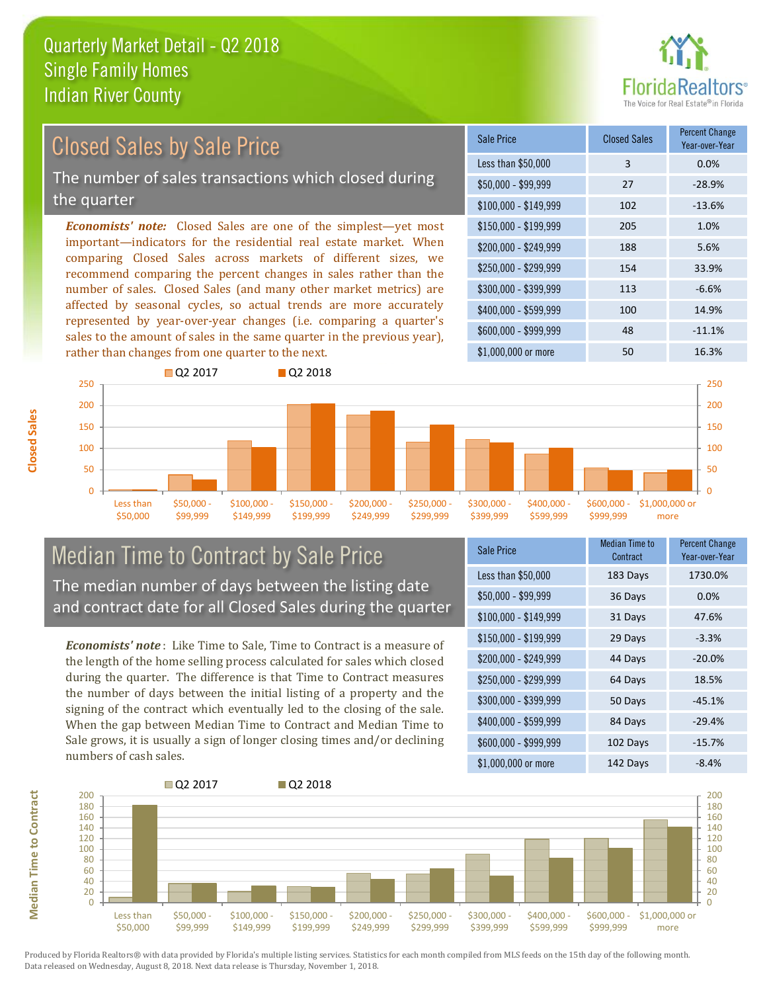

# Closed Sales by Sale Price

The number of sales transactions which closed during the quarter

*Economists' note:* Closed Sales are one of the simplest—yet most important—indicators for the residential real estate market. When comparing Closed Sales across markets of different sizes, we recommend comparing the percent changes in sales rather than the number of sales. Closed Sales (and many other market metrics) are affected by seasonal cycles, so actual trends are more accurately represented by year-over-year changes (i.e. comparing a quarter's sales to the amount of sales in the same quarter in the previous year), rather than changes from one quarter to the next.





#### Median Time to Contract by Sale Price The median number of days between the listing date and contract date for all Closed Sales during the quarter

*Economists' note* : Like Time to Sale, Time to Contract is a measure of the length of the home selling process calculated for sales which closed during the quarter. The difference is that Time to Contract measures the number of days between the initial listing of a property and the signing of the contract which eventually led to the closing of the sale. When the gap between Median Time to Contract and Median Time to Sale grows, it is usually a sign of longer closing times and/or declining numbers of cash sales.

| Sale Price            | <b>Median Time to</b><br>Contract | <b>Percent Change</b><br>Year-over-Year |
|-----------------------|-----------------------------------|-----------------------------------------|
| Less than \$50,000    | 183 Days                          | 1730.0%                                 |
| $$50,000 - $99,999$   | 36 Days                           | 0.0%                                    |
| $$100,000 - $149,999$ | 31 Days                           | 47.6%                                   |
| $$150,000 - $199,999$ | 29 Days                           | $-3.3%$                                 |
| \$200,000 - \$249,999 | 44 Days                           | $-20.0%$                                |
| \$250,000 - \$299,999 | 64 Days                           | 18.5%                                   |
| \$300,000 - \$399,999 | 50 Days                           | $-45.1%$                                |
| \$400,000 - \$599,999 | 84 Days                           | $-29.4%$                                |
| \$600,000 - \$999,999 | 102 Days                          | $-15.7%$                                |
| \$1,000,000 or more   | 142 Days                          | $-8.4%$                                 |



Produced by Florida Realtors® with data provided by Florida's multiple listing services. Statistics for each month compiled from MLS feeds on the 15th day of the following month. Data released on Wednesday, August 8, 2018. Next data release is Thursday, November 1, 2018.

**Median Time to Contract**

**Median Time to Contract**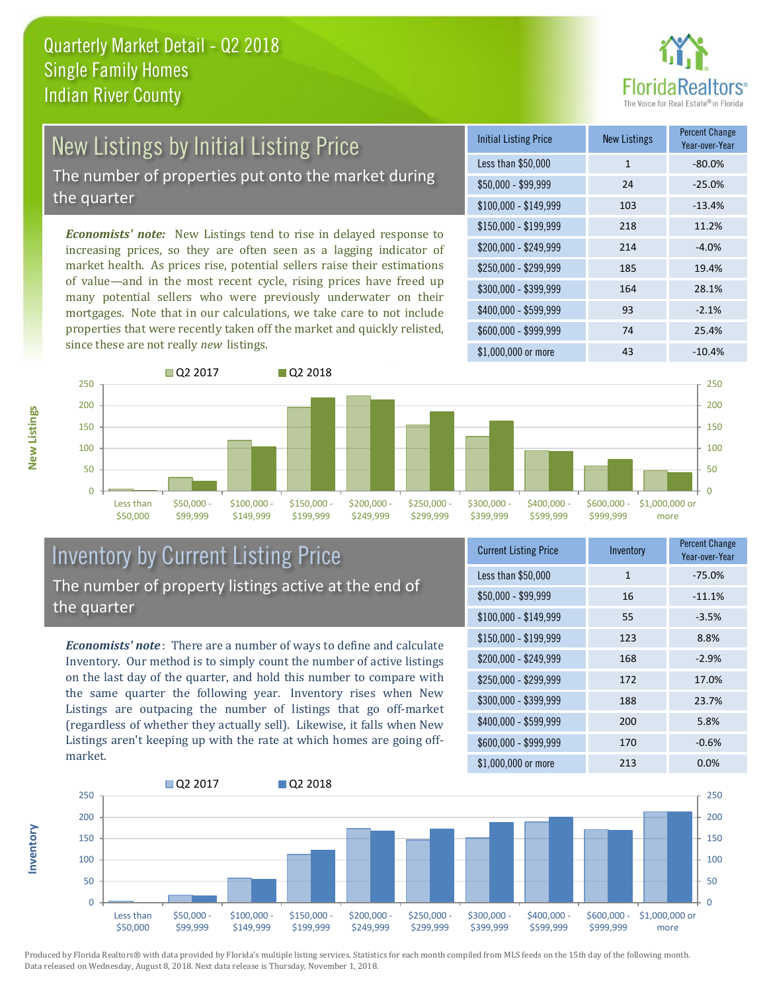

# New Listings by Initial Listing Price

The number of properties put onto the market during the quarter

*Economists' note:* New Listings tend to rise in delayed response to increasing prices, so they are often seen as a lagging indicator of market health. As prices rise, potential sellers raise their estimations of value—and in the most recent cycle, rising prices have freed up many potential sellers who were previously underwater on their mortgages. Note that in our calculations, we take care to not include properties that were recently taken off the market and quickly relisted, since these are not really *new* listings.





#### Inventory by Current Listing Price The number of property listings active at the end of the quarter

*Economists' note* : There are a number of ways to define and calculate Inventory. Our method is to simply count the number of active listings on the last day of the quarter, and hold this number to compare with the same quarter the following year. Inventory rises when New Listings are outpacing the number of listings that go off-market (regardless of whether they actually sell). Likewise, it falls when New Listings aren't keeping up with the rate at which homes are going offmarket.

| <b>Current Listing Price</b> | Inventory    | <b>Percent Change</b><br>Year-over-Year |
|------------------------------|--------------|-----------------------------------------|
| Less than \$50,000           | $\mathbf{1}$ | $-75.0%$                                |
| \$50,000 - \$99,999          | 16           | $-11.1%$                                |
| $$100,000 - $149,999$        | 55           | $-3.5%$                                 |
| $$150,000 - $199,999$        | 123          | 8.8%                                    |
| \$200,000 - \$249,999        | 168          | $-2.9%$                                 |
| \$250,000 - \$299,999        | 172          | 17.0%                                   |
| \$300,000 - \$399,999        | 188          | 23.7%                                   |
| \$400,000 - \$599,999        | 200          | 5.8%                                    |
| \$600,000 - \$999,999        | 170          | $-0.6%$                                 |
| \$1,000,000 or more          | 213          | $0.0\%$                                 |



Produced by Florida Realtors® with data provided by Florida's multiple listing services. Statistics for each month compiled from MLS feeds on the 15th day of the following month. Data released on Wednesday, August 8, 2018. Next data release is Thursday, November 1, 2018.

**Inventory**